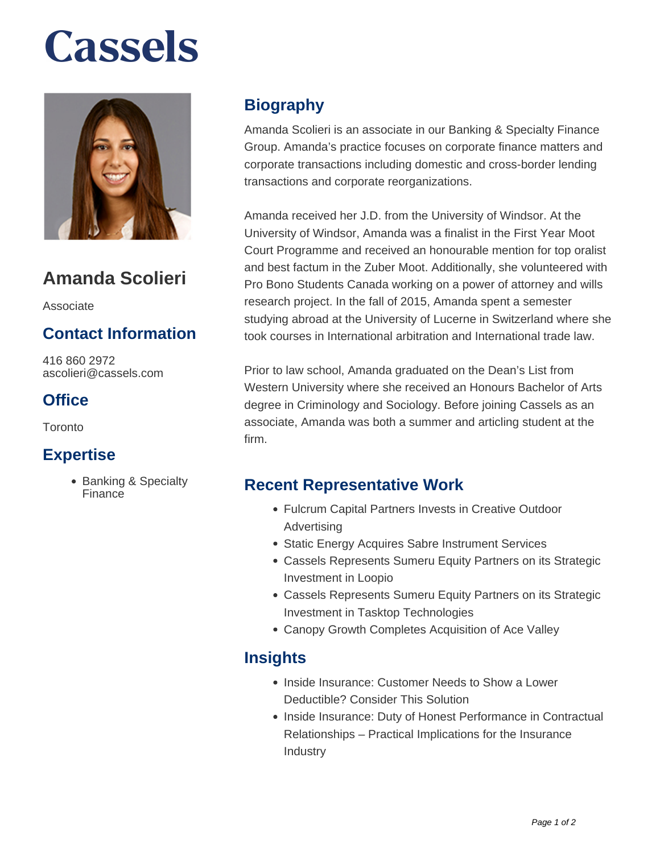# **Cassels**



### **Amanda Scolieri**

Associate

#### **Contact Information**

416 860 2972 ascolieri@cassels.com

#### **Office**

Toronto

#### **Expertise**

• Banking & Specialty Finance

#### **Biography**

Amanda Scolieri is an associate in our Banking & Specialty Finance Group. Amanda's practice focuses on corporate finance matters and corporate transactions including domestic and cross-border lending transactions and corporate reorganizations.

Amanda received her J.D. from the University of Windsor. At the University of Windsor, Amanda was a finalist in the First Year Moot Court Programme and received an honourable mention for top oralist and best factum in the Zuber Moot. Additionally, she volunteered with Pro Bono Students Canada working on a power of attorney and wills research project. In the fall of 2015, Amanda spent a semester studying abroad at the University of Lucerne in Switzerland where she took courses in International arbitration and International trade law.

Prior to law school, Amanda graduated on the Dean's List from Western University where she received an Honours Bachelor of Arts degree in Criminology and Sociology. Before joining Cassels as an associate, Amanda was both a summer and articling student at the firm.

#### **Recent Representative Work**

- Fulcrum Capital Partners Invests in Creative Outdoor Advertising
- Static Energy Acquires Sabre Instrument Services
- Cassels Represents Sumeru Equity Partners on its Strategic Investment in Loopio
- Cassels Represents Sumeru Equity Partners on its Strategic Investment in Tasktop Technologies
- Canopy Growth Completes Acquisition of Ace Valley

#### **Insights**

- Inside Insurance: Customer Needs to Show a Lower Deductible? Consider This Solution
- Inside Insurance: Duty of Honest Performance in Contractual Relationships – Practical Implications for the Insurance Industry